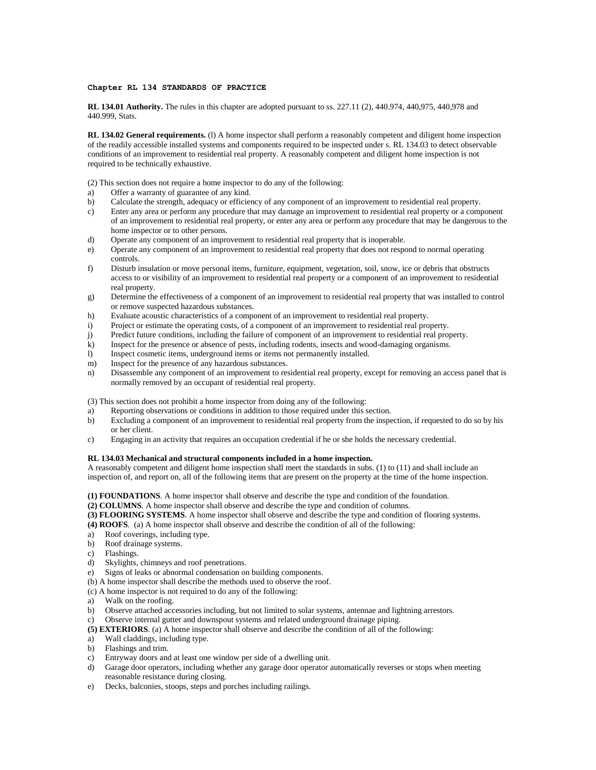## **Chapter RL 134 STANDARDS OF PRACTICE**

**RL 134.01 Authority.** The rules in this chapter are adopted pursuant to ss. 227.11 (2), 440.974, 440,975, 440,978 and 440.999, Stats.

**RL 134.02 General requirements.** (l) A home inspector shall perform a reasonably competent and diligent home inspection of the readily accessible installed systems and components required to be inspected under s. RL 134.03 to detect observable conditions of an improvement to residential real property. A reasonably competent and diligent home inspection is not required to be technically exhaustive.

(2) This section does not require a home inspector to do any of the following:

- a) Offer a warranty of guarantee of any kind.
- b) Calculate the strength, adequacy or efficiency of any component of an improvement to residential real property.
- c) Enter any area or perform any procedure that may damage an improvement to residential real property or a component of an improvement to residential real property, or enter any area or perform any procedure that may be dangerous to the home inspector or to other persons.
- d) Operate any component of an improvement to residential real property that is inoperable.
- e) Operate any component of an improvement to residential real property that does not respond to normal operating controls.
- f) Disturb insulation or move personal items, furniture, equipment, vegetation, soil, snow, ice or debris that obstructs access to or visibility of an improvement to residential real property or a component of an improvement to residential real property.
- g) Determine the effectiveness of a component of an improvement to residential real property that was installed to control or remove suspected hazardous substances.
- h) Evaluate acoustic characteristics of a component of an improvement to residential real property.
- i) Project or estimate the operating costs, of a component of an improvement to residential real property.
- j) Predict future conditions, including the failure of component of an improvement to residential real property.
- k) Inspect for the presence or absence of pests, including rodents, insects and wood-damaging organisms.
- l) Inspect cosmetic items, underground items or items not permanently installed.
- m) Inspect for the presence of any hazardous substances.
- n) Disassemble any component of an improvement to residential real property, except for removing an access panel that is normally removed by an occupant of residential real property.

(3) This section does not prohibit a home inspector from doing any of the following:

- a) Reporting observations or conditions in addition to those required under this section.
- b) Excluding a component of an improvement to residential real property from the inspection, if requested to do so by his or her client.
- c) Engaging in an activity that requires an occupation credential if he or she holds the necessary credential.

## **RL 134.03 Mechanical and structural components included in a home inspection.**

A reasonably competent and diligent home inspection shall meet the standards in subs. (1) to (11) and shall include an inspection of, and report on, all of the following items that are present on the property at the time of the home inspection.

**(1) FOUNDATIONS**. A home inspector shall observe and describe the type and condition of the foundation.

**(2) COLUMNS**. A home inspector shall observe and describe the type and condition of columns.

- **(3) FLOORING SYSTEMS**. A home inspector shall observe and describe the type and condition of flooring systems.
- **(4) ROOFS**. (a) A home inspector shall observe and describe the condition of all of the following:
- a) Roof coverings, including type.
- b) Roof drainage systems.
- c) Flashings.
- d) Skylights, chimneys and roof penetrations.
- e) Signs of leaks or abnormal condensation on building components.
- (b) A home inspector shall describe the methods used to observe the roof.
- (c) A home inspector is not required to do any of the following:
- a) Walk on the roofing.
- b) Observe attached accessories including, but not limited to solar systems, antennae and lightning arrestors.
- c) Observe internal gutter and downspout systems and related underground drainage piping.
- **(5) EXTERIORS**. (a) A home inspector shall observe and describe the condition of all of the following:
- a) Wall claddings, including type.
- b) Flashings and trim.
- c) Entryway doors and at least one window per side of a dwelling unit.
- d) Garage door operators, including whether any garage door operator automatically reverses or stops when meeting reasonable resistance during closing.
- e) Decks, balconies, stoops, steps and porches including railings.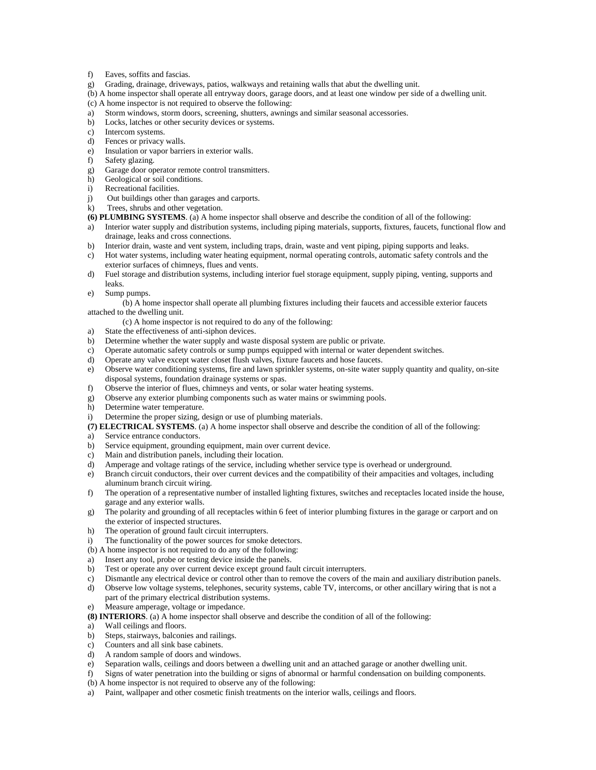- f) Eaves, soffits and fascias.
- g) Grading, drainage, driveways, patios, walkways and retaining walls that abut the dwelling unit.
- (b) A home inspector shall operate all entryway doors, garage doors, and at least one window per side of a dwelling unit.
- (c) A home inspector is not required to observe the following:
- a) Storm windows, storm doors, screening, shutters, awnings and similar seasonal accessories.
- b) Locks, latches or other security devices or systems.
- c) Intercom systems.
- d) Fences or privacy walls.
- e) Insulation or vapor barriers in exterior walls.
- f) Safety glazing.
- g) Garage door operator remote control transmitters.
- h) Geological or soil conditions.
- i) Recreational facilities.
- j) Out buildings other than garages and carports.
- k) Trees, shrubs and other vegetation.
- **(6) PLUMBING SYSTEMS**. (a) A home inspector shall observe and describe the condition of all of the following:
- a) Interior water supply and distribution systems, including piping materials, supports, fixtures, faucets, functional flow and drainage, leaks and cross connections.
- b) Interior drain, waste and vent system, including traps, drain, waste and vent piping, piping supports and leaks.
- c) Hot water systems, including water heating equipment, normal operating controls, automatic safety controls and the exterior surfaces of chimneys, flues and vents.
- d) Fuel storage and distribution systems, including interior fuel storage equipment, supply piping, venting, supports and leaks.
- e) Sump pumps.

(b) A home inspector shall operate all plumbing fixtures including their faucets and accessible exterior faucets attached to the dwelling unit.

- (c) A home inspector is not required to do any of the following:
- a) State the effectiveness of anti-siphon devices.
- b) Determine whether the water supply and waste disposal system are public or private.
- c) Operate automatic safety controls or sump pumps equipped with internal or water dependent switches.
- d) Operate any valve except water closet flush valves, fixture faucets and hose faucets.
- e) Observe water conditioning systems, fire and lawn sprinkler systems, on-site water supply quantity and quality, on-site disposal systems, foundation drainage systems or spas.
- f) Observe the interior of flues, chimneys and vents, or solar water heating systems.
- g) Observe any exterior plumbing components such as water mains or swimming pools.
- h) Determine water temperature.
- i) Determine the proper sizing, design or use of plumbing materials.
- **(7) ELECTRICAL SYSTEMS**. (a) A home inspector shall observe and describe the condition of all of the following:
- a) Service entrance conductors.
- b) Service equipment, grounding equipment, main over current device.
- c) Main and distribution panels, including their location.
- d) Amperage and voltage ratings of the service, including whether service type is overhead or underground.
- e) Branch circuit conductors, their over current devices and the compatibility of their ampacities and voltages, including aluminum branch circuit wiring.
- f) The operation of a representative number of installed lighting fixtures, switches and receptacles located inside the house, garage and any exterior walls.
- g) The polarity and grounding of all receptacles within 6 feet of interior plumbing fixtures in the garage or carport and on the exterior of inspected structures.
- h) The operation of ground fault circuit interrupters.
- i) The functionality of the power sources for smoke detectors.
- (b) A home inspector is not required to do any of the following:
- a) Insert any tool, probe or testing device inside the panels.
- b) Test or operate any over current device except ground fault circuit interrupters.
- c) Dismantle any electrical device or control other than to remove the covers of the main and auxiliary distribution panels.
- d) Observe low voltage systems, telephones, security systems, cable TV, intercoms, or other ancillary wiring that is not a part of the primary electrical distribution systems. e) Measure amperage, voltage or impedance.
- **(8) INTERIORS**. (a) A home inspector shall observe and describe the condition of all of the following:
- a) Wall ceilings and floors.
- b) Steps, stairways, balconies and railings.
- c) Counters and all sink base cabinets.
- d) A random sample of doors and windows.
- e) Separation walls, ceilings and doors between a dwelling unit and an attached garage or another dwelling unit.
- f) Signs of water penetration into the building or signs of abnormal or harmful condensation on building components.
- (b) A home inspector is not required to observe any of the following:
- a) Paint, wallpaper and other cosmetic finish treatments on the interior walls, ceilings and floors.